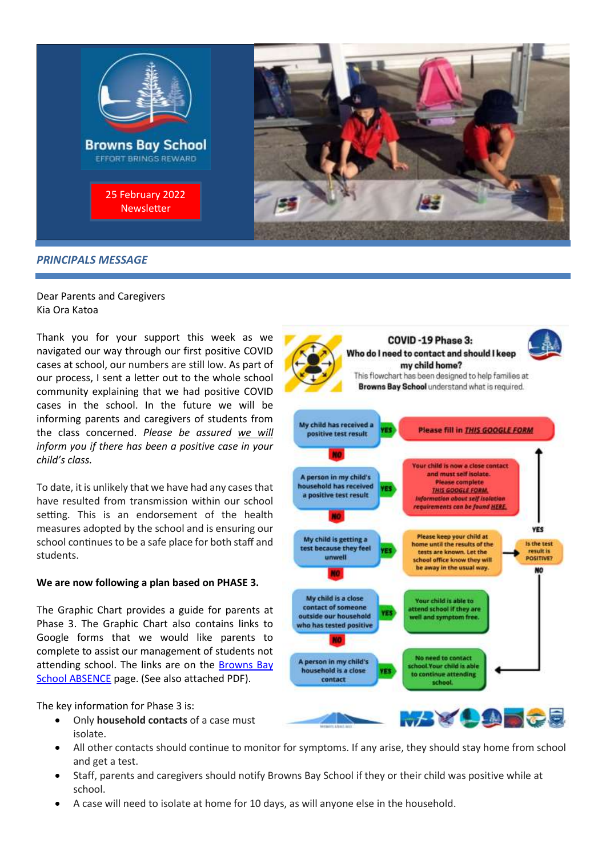

# Dear Parents and Caregivers

Kia Ora Katoa

Thank you for your support this week as we navigated our way through our first positive COVID cases at school, our numbers are still low. As part of our process, I sent a letter out to the whole school community explaining that we had positive COVID cases in the school. In the future we will be informing parents and caregivers of students from the class concerned. *Please be assured we will inform you if there has been a positive case in your child's class.*

To date, it is unlikely that we have had any cases that have resulted from transmission within our school setting. This is an endorsement of the health measures adopted by the school and is ensuring our school continues to be a safe place for both staff and students.

# **We are now following a plan based on PHASE 3.**

The Graphic Chart provides a guide for parents at Phase 3. The Graphic Chart also contains links to Google forms that we would like parents to complete to assist our management of students not attending school. The links are on the Browns Bay [School ABSENCE](https://www.brownsbay.school.nz/index.php/contact/report-absence) page. (See also attached PDF).

The key information for Phase 3 is:

- Only **household contacts** of a case must isolate.
- All other contacts should continue to monitor for symptoms. If any arise, they should stay home from school and get a test.
- Staff, parents and caregivers should notify Browns Bay School if they or their child was positive while at school.
- A case will need to isolate at home for 10 days, as will anyone else in the household.

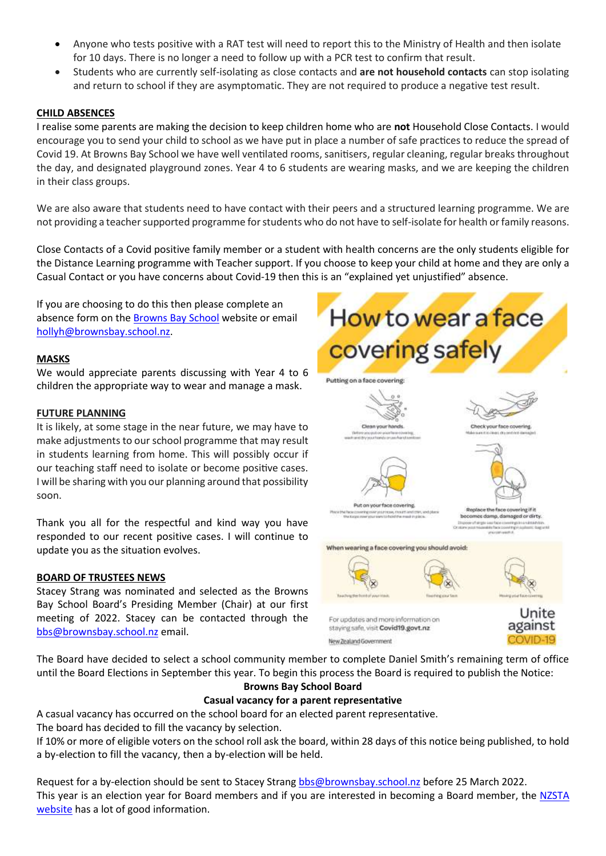- Anyone who tests positive with a RAT test will need to report this to the Ministry of Health and then isolate for 10 days. There is no longer a need to follow up with a PCR test to confirm that result.
- Students who are currently self-isolating as close contacts and **are not household contacts** can stop isolating and return to school if they are asymptomatic. They are not required to produce a negative test result.

# **CHILD ABSENCES**

I realise some parents are making the decision to keep children home who are **not** Household Close Contacts. I would encourage you to send your child to school as we have put in place a number of safe practices to reduce the spread of Covid 19. At Browns Bay School we have well ventilated rooms, sanitisers, regular cleaning, regular breaks throughout the day, and designated playground zones. Year 4 to 6 students are wearing masks, and we are keeping the children in their class groups.

We are also aware that students need to have contact with their peers and a structured learning programme. We are not providing a teacher supported programme for students who do not have to self-isolate for health or family reasons.

Close Contacts of a Covid positive family member or a student with health concerns are the only students eligible for the Distance Learning programme with Teacher support. If you choose to keep your child at home and they are only a Casual Contact or you have concerns about Covid-19 then this is an "explained yet unjustified" absence.

If you are choosing to do this then please complete an absence form on the [Browns Bay School](https://www.brownsbay.school.nz/index.php/contact/report-absence) website or email [hollyh@brownsbay.school.nz.](mailto:hollyh@brownsbay.school.nz)

# **MASKS**

We would appreciate parents discussing with Year 4 to 6 children the appropriate way to wear and manage a mask.

# **FUTURE PLANNING**

It is likely, at some stage in the near future, we may have to make adjustments to our school programme that may result in students learning from home. This will possibly occur if our teaching staff need to isolate or become positive cases. I will be sharing with you our planning around that possibility soon.

Thank you all for the respectful and kind way you have responded to our recent positive cases. I will continue to update you as the situation evolves.

# **BOARD OF TRUSTEES NEWS**

Stacey Strang was nominated and selected as the Browns Bay School Board's Presiding Member (Chair) at our first meeting of 2022. Stacey can be contacted through the [bbs@brownsbay.school.nz](mailto:bbs@brownsbay.school.nz) email.



The Board have decided to select a school community member to complete Daniel Smith's remaining term of office until the Board Elections in September this year. To begin this process the Board is required to publish the Notice: **Browns Bay School Board** 

New Zealand Government

# **Casual vacancy for a parent representative**

A casual vacancy has occurred on the school board for an elected parent representative. The board has decided to fill the vacancy by selection.

If 10% or more of eligible voters on the school roll ask the board, within 28 days of this notice being published, to hold a by-election to fill the vacancy, then a by-election will be held.

Request for a by-election should be sent to Stacey Stran[g bbs@brownsbay.school.nz](mailto:bbs@brownsbay.school.nz) before 25 March 2022. This year is an election year for Board members and if you are interested in becoming a Board member, the [NZSTA](https://www.schoolboardelections.org.nz/becoming-a-board-member/)  [website](https://www.schoolboardelections.org.nz/becoming-a-board-member/) has a lot of good information.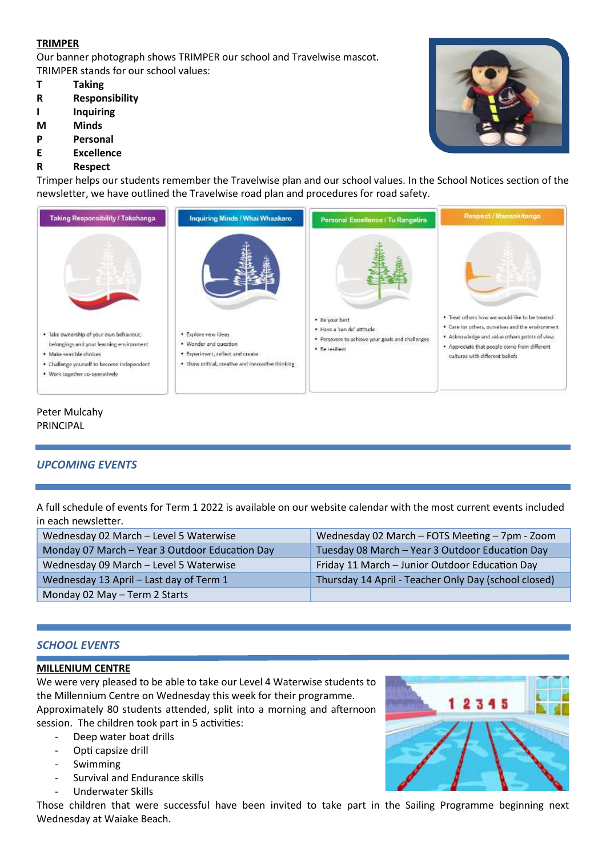# **TRIMPER**

Our banner photograph shows TRIMPER our school and Travelwise mascot. TRIMPER stands for our school values:

- **T Taking**
- **R Responsibility**
- **I Inquiring**
- **M Minds**
- **P Personal**
- **E Excellence**
- **R Respect**

Trimper helps our students remember the Travelwise plan and our school values. In the School Notices section of the newsletter, we have outlined the Travelwise road plan and procedures for road safety.



# Peter Mulcahy PRINCIPAL

# *UPCOMING EVENTS*

A full schedule of events for Term 1 2022 is available on our website calendar with the most current events included in each newsletter.

| Wednesday 02 March - Level 5 Waterwise         | Wednesday 02 March - FOTS Meeting - 7pm - Zoom       |
|------------------------------------------------|------------------------------------------------------|
| Monday 07 March - Year 3 Outdoor Education Day | Tuesday 08 March - Year 3 Outdoor Education Day      |
| Wednesday 09 March - Level 5 Waterwise         | Friday 11 March - Junior Outdoor Education Day       |
| Wednesday 13 April - Last day of Term 1        | Thursday 14 April - Teacher Only Day (school closed) |
| Monday 02 May - Term 2 Starts                  |                                                      |

# *SCHOOL EVENTS*

# **MILLENIUM CENTRE**

We were very pleased to be able to take our Level 4 Waterwise students to the Millennium Centre on Wednesday this week for their programme. Approximately 80 students attended, split into a morning and afternoon session. The children took part in 5 activities:

- Deep water boat drills
- Opti capsize drill
- **Swimming**
- Survival and Endurance skills
- Underwater Skills





## Those children that were successful have been invited to take part in the Sailing Programme beginning next Wednesday at Waiake Beach.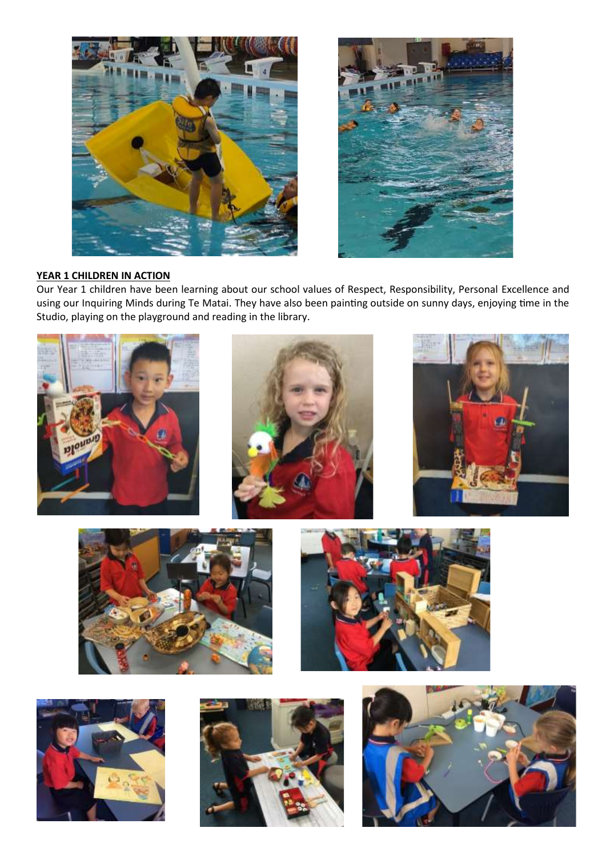



# **YEAR 1 CHILDREN IN ACTION**

Our Year 1 children have been learning about our school values of Respect, Responsibility, Personal Excellence and using our Inquiring Minds during Te Matai. They have also been painting outside on sunny days, enjoying time in the Studio, playing on the playground and reading in the library.

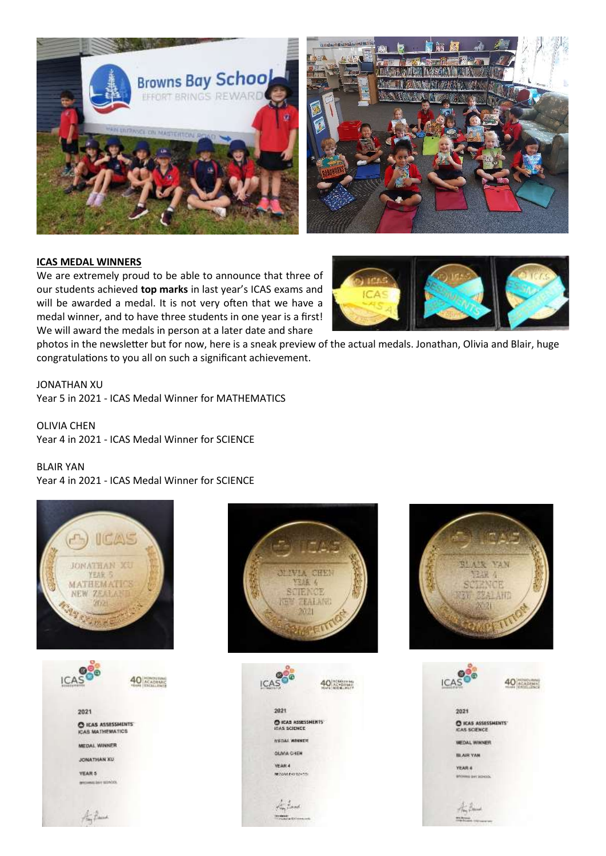



#### **ICAS MEDAL WINNERS**

We are extremely proud to be able to announce that three of our students achieved **top marks** in last year's ICAS exams and will be awarded a medal. It is not very often that we have a medal winner, and to have three students in one year is a first! We will award the medals in person at a later date and share



photos in the newsletter but for now, here is a sneak preview of the actual medals. Jonathan, Olivia and Blair, huge congratulations to you all on such a significant achievement.

JONATHAN XU

Year 5 in 2021 - ICAS Medal Winner for MATHEMATICS

OLIVIA CHEN Year 4 in 2021 - ICAS Medal Winner for SCIENCE

#### BLAIR YAN

Year 4 in 2021 - ICAS Medal Winner for SCIENCE









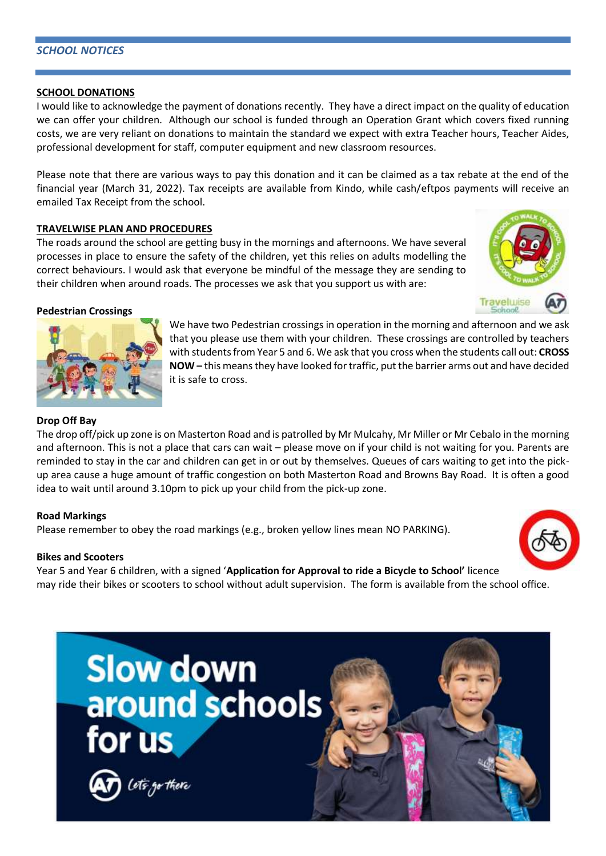# *SCHOOL NOTICES*

# **SCHOOL DONATIONS**

I would like to acknowledge the payment of donations recently. They have a direct impact on the quality of education we can offer your children. Although our school is funded through an Operation Grant which covers fixed running costs, we are very reliant on donations to maintain the standard we expect with extra Teacher hours, Teacher Aides, professional development for staff, computer equipment and new classroom resources.

Please note that there are various ways to pay this donation and it can be claimed as a tax rebate at the end of the financial year (March 31, 2022). Tax receipts are available from Kindo, while cash/eftpos payments will receive an emailed Tax Receipt from the school.

# **TRAVELWISE PLAN AND PROCEDURES**

The roads around the school are getting busy in the mornings and afternoons. We have several processes in place to ensure the safety of the children, yet this relies on adults modelling the correct behaviours. I would ask that everyone be mindful of the message they are sending to their children when around roads. The processes we ask that you support us with are:



# **Pedestrian Crossings**

We have two Pedestrian crossings in operation in the morning and afternoon and we ask that you please use them with your children. These crossings are controlled by teachers with students from Year 5 and 6. We ask that you cross when the students call out: **CROSS NOW –** this means they have looked for traffic, put the barrier arms out and have decided it is safe to cross.

# **Drop Off Bay**

The drop off/pick up zone is on Masterton Road and is patrolled by Mr Mulcahy, Mr Miller or Mr Cebalo in the morning and afternoon. This is not a place that cars can wait – please move on if your child is not waiting for you. Parents are reminded to stay in the car and children can get in or out by themselves. Queues of cars waiting to get into the pickup area cause a huge amount of traffic congestion on both Masterton Road and Browns Bay Road. It is often a good idea to wait until around 3.10pm to pick up your child from the pick-up zone.

# **Road Markings**

Please remember to obey the road markings (e.g., broken yellow lines mean NO PARKING).

# **Bikes and Scooters**

Year 5 and Year 6 children, with a signed '**Application for Approval to ride a Bicycle to School'** licence may ride their bikes or scooters to school without adult supervision. The form is available from the school office.



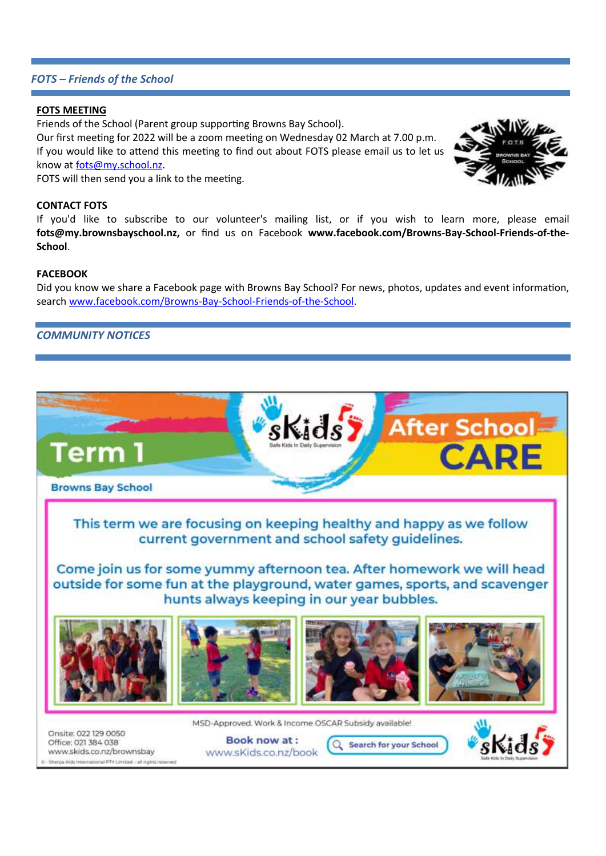# *FOTS – Friends of the School*

## **FOTS MEETING**

Friends of the School (Parent group supporting Browns Bay School).

Our first meeting for 2022 will be a zoom meeting on Wednesday 02 March at 7.00 p.m. If you would like to attend this meeting to find out about FOTS please email us to let us know a[t fots@my.school.nz.](mailto:fots@my.school.nz)

FOTS will then send you a link to the meeting.

# **CONTACT FOTS**

If you'd like to subscribe to our volunteer's mailing list, or if you wish to learn more, please email **fots@my.brownsbayschool.nz,** or find us on Facebook **www.facebook.com/Browns-Bay-School-Friends-of-the-School**.

#### **FACEBOOK**

Did you know we share a Facebook page with Browns Bay School? For news, photos, updates and event information, search [www.facebook.com/Browns-Bay-School-Friends-of-the-School.](http://www.facebook.com/Browns-Bay-School-Friends-of-the-School)

# *COMMUNITY NOTICES*